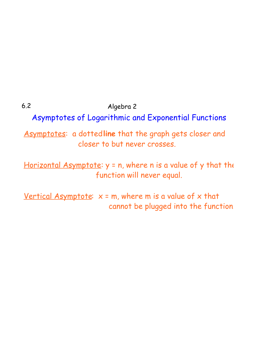6.2 Algebra 2

Asymptotes of Logarithmic and Exponential Functions

Asymptotes: a dotted line that the graph gets closer and closer to but never crosses.

Horizontal Asymptote:  $y = n$ , where n is a value of y that the function will never equal.

Vertical Asymptote:  $x = m$ , where m is a value of x that cannot be plugged into the function.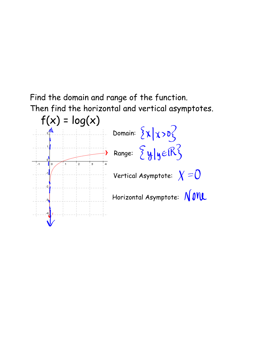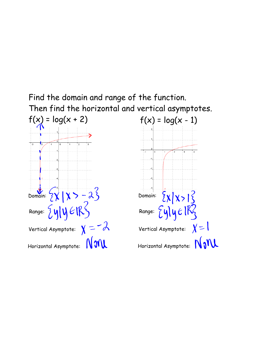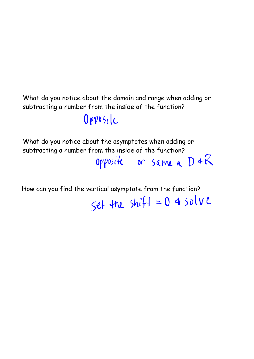What do you notice about the domain and range when adding or subtracting a number from the inside of the function?

Opposite

What do you notice about the asymptotes when adding or

subtracting a number from the inside of the function?<br>Opposite or  $\frac{1}{2}$  or  $\frac{1}{2}$  or  $\frac{1}{2}$ 

How can you find the vertical asymptote from the function?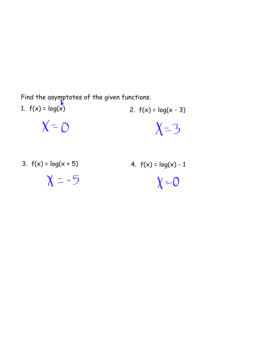Find the asymptotes of the given functions.

- 1.  $f(x) = log(x)$  2.  $f(x) = log(x 3)$  $X = 0$  $X=3$
- 3.  $f(x) = log(x + 5)$  4.  $f(x) = log(x) 1$

 $X = -5$ 

 $X = 0$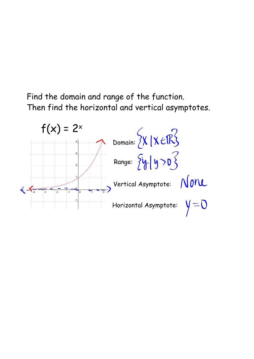

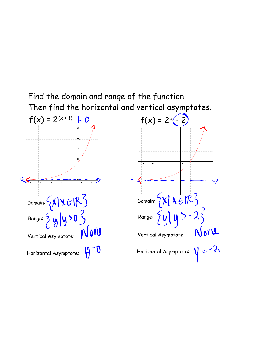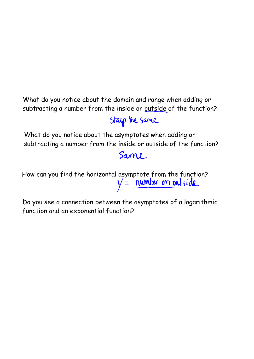What do you notice about the domain and range when adding or subtracting a number from the inside or outside of the function?

## Stap the same

What do you notice about the asymptotes when adding or subtracting a number from the inside or outside of the function?

## Same

How can you find the horizontal asymptote from the function?<br> $y' = \underbrace{numbar \text{ on } \textbf{out}}$ 

Do you see a connection between the asymptotes of a logarithmic function and an exponential function?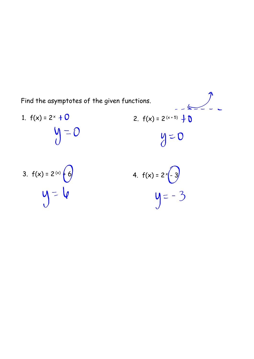

3. 
$$
f(x) = 2^{(x)}\begin{pmatrix} 6 \\ 6 \end{pmatrix}
$$
  
4.  $f(x) = 2^{(x)}\begin{pmatrix} 3 \\ -3 \end{pmatrix}$   
4.  $f(x) = 2^{(x)}\begin{pmatrix} 3 \\ -3 \end{pmatrix}$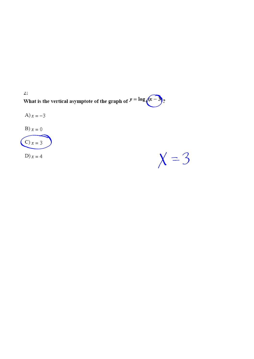$\mathbf{Z}$ What is the vertical asymptote of the graph of  $y = \log_4(x 3\frac{1}{2}$ 



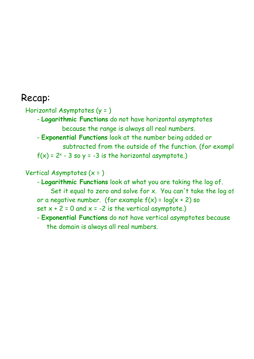## Recap:

Horizontal Asymptotes (y = )

- **Logarithmic Functions** do not have horizontal asymptotes because the range is always all real numbers.
- **Exponential Functions** look at the number being added or
- subtracted from the outside of the function. (for example f(x) = 2× - 3 so y = -3 is the horizontal asymptote.)

Vertical Asymptotes (x = )

- **Logarithmic Functions** look at what you are taking the log of. Set it equal to zero and solve for  $x$ . You can't take the log of or a negative number. (for example  $f(x) = log(x + 2)$  so set  $x + 2 = 0$  and  $x = -2$  is the vertical asymptote.)
- **Exponential Functions** do not have vertical asymptotes because the domain is always all real numbers.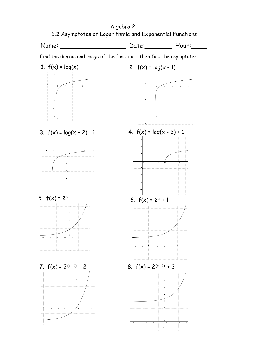6.2 Asymptotes of Logarithmic and Exponential Functions Name: \_\_\_\_\_\_\_\_\_\_\_\_\_\_\_\_\_\_\_\_\_\_\_\_\_\_\_ Date: Hour:\_\_\_\_\_\_\_ Hour: Find the domain and range of the function. Then find the asymptotes. 1.  $f(x) = log(x)$  2.  $f(x) = log(x - 1)$ 3.  $f(x) = log(x + 2) - 1$  4.  $f(x) = log(x - 3) + 1$ 5.  $f(x) = 2^x$ 6.  $f(x)$  = 2 $^{\times}$  + 1 7.  $f(x) = 2^{(x+1)} - 2$  $-2$  8.  $f(x) = 2^{(x-1)} + 3$ 

Algebra 2